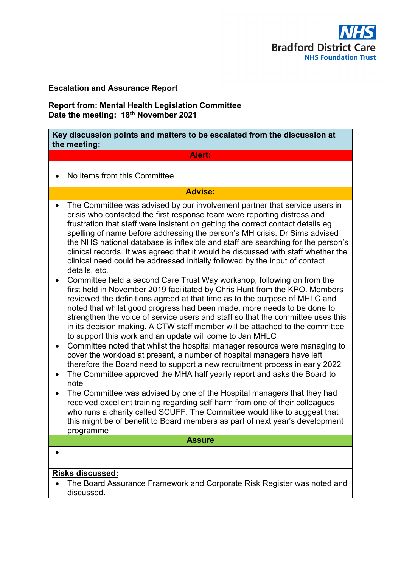

## **Escalation and Assurance Report**

**Report from: Mental Health Legislation Committee Date the meeting: 18th November 2021**

**Key discussion points and matters to be escalated from the discussion at the meeting:**

### **Alert:**

• No items from this Committee

## **Advise:**

- The Committee was advised by our involvement partner that service users in crisis who contacted the first response team were reporting distress and frustration that staff were insistent on getting the correct contact details eg spelling of name before addressing the person's MH crisis. Dr Sims advised the NHS national database is inflexible and staff are searching for the person's clinical records. It was agreed that it would be discussed with staff whether the clinical need could be addressed initially followed by the input of contact details, etc.
- Committee held a second Care Trust Way workshop, following on from the first held in November 2019 facilitated by Chris Hunt from the KPO. Members reviewed the definitions agreed at that time as to the purpose of MHLC and noted that whilst good progress had been made, more needs to be done to strengthen the voice of service users and staff so that the committee uses this in its decision making. A CTW staff member will be attached to the committee to support this work and an update will come to Jan MHLC
- Committee noted that whilst the hospital manager resource were managing to cover the workload at present, a number of hospital managers have left therefore the Board need to support a new recruitment process in early 2022
- The Committee approved the MHA half yearly report and asks the Board to note
- The Committee was advised by one of the Hospital managers that they had received excellent training regarding self harm from one of their colleagues who runs a charity called SCUFF. The Committee would like to suggest that this might be of benefit to Board members as part of next year's development programme

#### **Assure**

•

## **Risks discussed:**

• The Board Assurance Framework and Corporate Risk Register was noted and discussed.